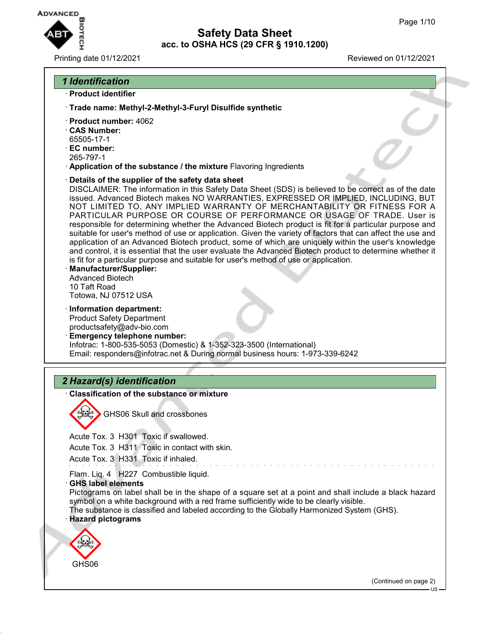

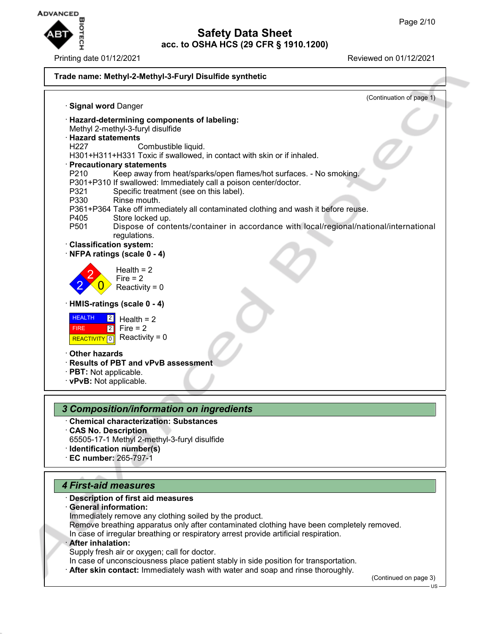

#### **Trade name: Methyl-2-Methyl-3-Furyl Disulfide synthetic** (Continuation of page 1) · **Signal word** Danger · **Hazard-determining components of labeling:** Methyl 2-methyl-3-furyl disulfide · **Hazard statements** Combustible liquid. H301+H311+H331 Toxic if swallowed, in contact with skin or if inhaled. · **Precautionary statements** P210 Keep away from heat/sparks/open flames/hot surfaces. - No smoking. P301+P310 If swallowed: Immediately call a poison center/doctor. Specific treatment (see on this label). P330 Rinse mouth. P361+P364 Take off immediately all contaminated clothing and wash it before reuse. P405 Store locked up.<br>P501 Dispose of cont Dispose of contents/container in accordance with local/regional/national/international regulations. · **Classification system:** · **NFPA ratings (scale 0 - 4)** 2 2  $\overline{0}$ Health  $= 2$  $Fire = 2$ Reactivity =  $0$ · **HMIS-ratings (scale 0 - 4) HEALTH**  FIRE **REACTIVITY** 0  $|2|$ 2 Health  $= 2$  $Fire = 2$ Reactivity  $= 0$ · **Other hazards** · **Results of PBT and vPvB assessment** · **PBT:** Not applicable. · **vPvB:** Not applicable. *3 Composition/information on ingredients* · **Chemical characterization: Substances** · **CAS No. Description**

- 65505-17-1 Methyl 2-methyl-3-furyl disulfide
- · **Identification number(s)**
- · **EC number:** 265-797-1

# *4 First-aid measures*

## · **Description of first aid measures**

- · **General information:**
- Immediately remove any clothing soiled by the product.
- Remove breathing apparatus only after contaminated clothing have been completely removed.
- In case of irregular breathing or respiratory arrest provide artificial respiration.

## · **After inhalation:**

Supply fresh air or oxygen; call for doctor.

In case of unconsciousness place patient stably in side position for transportation.

**After skin contact:** Immediately wash with water and soap and rinse thoroughly.

(Continued on page 3)

US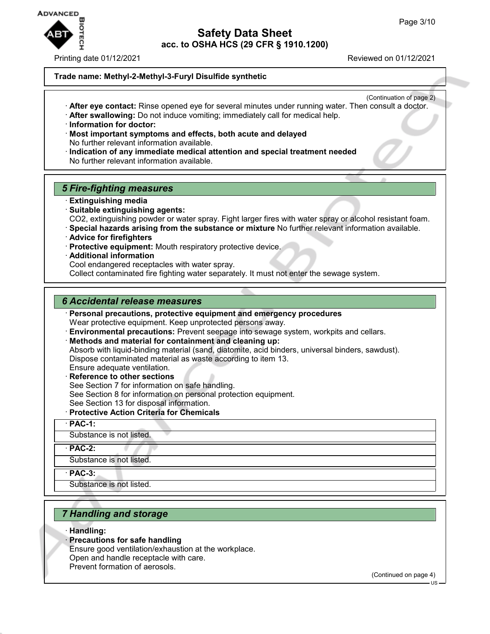

Printing date 01/12/2021 Reviewed on 01/12/2021

## **Trade name: Methyl-2-Methyl-3-Furyl Disulfide synthetic**

- (Continuation of page 2) · **After eye contact:** Rinse opened eye for several minutes under running water. Then consult a doctor.
- · **After swallowing:** Do not induce vomiting; immediately call for medical help.
- · **Information for doctor:**
- · **Most important symptoms and effects, both acute and delayed** No further relevant information available.
- · **Indication of any immediate medical attention and special treatment needed** No further relevant information available.

## *5 Fire-fighting measures*

- · **Extinguishing media**
- · **Suitable extinguishing agents:** CO2, extinguishing powder or water spray. Fight larger fires with water spray or alcohol resistant foam.
- · **Special hazards arising from the substance or mixture** No further relevant information available.
- · **Advice for firefighters**
- · **Protective equipment:** Mouth respiratory protective device.
- · **Additional information**
- Cool endangered receptacles with water spray.

Collect contaminated fire fighting water separately. It must not enter the sewage system.

## *6 Accidental release measures*

· **Personal precautions, protective equipment and emergency procedures** Wear protective equipment. Keep unprotected persons away.

· **Environmental precautions:** Prevent seepage into sewage system, workpits and cellars.

· **Methods and material for containment and cleaning up:** Absorb with liquid-binding material (sand, diatomite, acid binders, universal binders, sawdust). Dispose contaminated material as waste according to item 13. Ensure adequate ventilation.

· **Reference to other sections** See Section 7 for information on safe handling. See Section 8 for information on personal protection equipment. See Section 13 for disposal information.

· **Protective Action Criteria for Chemicals**

· **PAC-1:**

Substance is not listed.

· **PAC-2:**

Substance is not listed.

· **PAC-3:**

Substance is not listed.

## *7 Handling and storage*

· **Handling:**

· **Precautions for safe handling**

Ensure good ventilation/exhaustion at the workplace.

- Open and handle receptacle with care.
- Prevent formation of aerosols.

(Continued on page 4)

US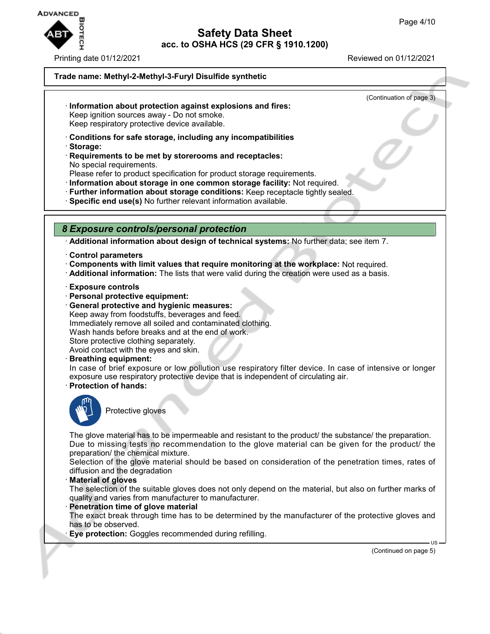

Printing date 01/12/2021 Reviewed on 01/12/2021

(Continuation of page 3)

## **Trade name: Methyl-2-Methyl-3-Furyl Disulfide synthetic**

## · **Information about protection against explosions and fires:** Keep ignition sources away - Do not smoke.

Keep respiratory protective device available.

- · **Conditions for safe storage, including any incompatibilities**
- · **Storage:**
- · **Requirements to be met by storerooms and receptacles:** No special requirements.

Please refer to product specification for product storage requirements.

- · **Information about storage in one common storage facility:** Not required.
- · **Further information about storage conditions:** Keep receptacle tightly sealed.
- · **Specific end use(s)** No further relevant information available.

## *8 Exposure controls/personal protection*

· **Additional information about design of technical systems:** No further data; see item 7.

- · **Control parameters**
- · **Components with limit values that require monitoring at the workplace:** Not required.
- · **Additional information:** The lists that were valid during the creation were used as a basis.
- · **Exposure controls**
- · **Personal protective equipment:**
- · **General protective and hygienic measures:** Keep away from foodstuffs, beverages and feed. Immediately remove all soiled and contaminated clothing. Wash hands before breaks and at the end of work. Store protective clothing separately. Avoid contact with the eyes and skin.
- · **Breathing equipment:**

In case of brief exposure or low pollution use respiratory filter device. In case of intensive or longer exposure use respiratory protective device that is independent of circulating air.

· **Protection of hands:**



Protective gloves

The glove material has to be impermeable and resistant to the product/ the substance/ the preparation. Due to missing tests no recommendation to the glove material can be given for the product/ the preparation/ the chemical mixture.

Selection of the glove material should be based on consideration of the penetration times, rates of diffusion and the degradation

#### · **Material of gloves**

The selection of the suitable gloves does not only depend on the material, but also on further marks of quality and varies from manufacturer to manufacturer.

#### **Penetration time of glove material**

The exact break through time has to be determined by the manufacturer of the protective gloves and has to be observed.

**Eye protection:** Goggles recommended during refilling.

(Continued on page 5)

 $H<sup>S</sup>$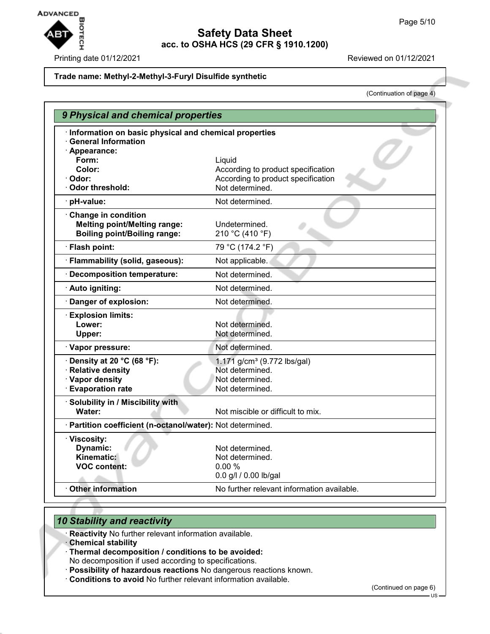

#### Printing date 01/12/2021 Reviewed on 01/12/2021

#### **Trade name: Methyl-2-Methyl-3-Furyl Disulfide synthetic**

(Continuation of page 4)

| 9 Physical and chemical properties                                                                |                                                                                                       |
|---------------------------------------------------------------------------------------------------|-------------------------------------------------------------------------------------------------------|
| Information on basic physical and chemical properties<br><b>General Information</b>               |                                                                                                       |
| · Appearance:<br>Form:<br>Color:<br>· Odor:<br>Odor threshold:                                    | Liquid<br>According to product specification<br>According to product specification<br>Not determined. |
| · pH-value:                                                                                       | Not determined.                                                                                       |
| Change in condition<br><b>Melting point/Melting range:</b><br><b>Boiling point/Boiling range:</b> | Undetermined.<br>210 °C (410 °F)                                                                      |
| · Flash point:                                                                                    | 79 °C (174.2 °F)                                                                                      |
| · Flammability (solid, gaseous):                                                                  | Not applicable.                                                                                       |
| · Decomposition temperature:                                                                      | Not determined.                                                                                       |
| · Auto igniting:                                                                                  | Not determined.                                                                                       |
| · Danger of explosion:                                                                            | Not determined.                                                                                       |
| <b>Explosion limits:</b><br>Lower:<br>Upper:                                                      | Not determined.<br>Not determined.                                                                    |
| · Vapor pressure:                                                                                 | Not determined.                                                                                       |
| Density at 20 °C (68 °F):<br>· Relative density<br>· Vapor density<br>· Evaporation rate          | 1.171 g/cm <sup>3</sup> (9.772 lbs/gal)<br>Not determined.<br>Not determined.<br>Not determined.      |
| · Solubility in / Miscibility with<br>Water:                                                      | Not miscible or difficult to mix.                                                                     |
| · Partition coefficient (n-octanol/water): Not determined.                                        |                                                                                                       |
| · Viscosity:<br>Dynamic:<br>Kinematic:<br><b>VOC content:</b>                                     | Not determined.<br>Not determined.<br>0.00%<br>0.0 g/l / 0.00 lb/gal                                  |
| Other information                                                                                 | No further relevant information available.                                                            |

## *10 Stability and reactivity*

· **Reactivity** No further relevant information available.

· **Chemical stability**

- · **Thermal decomposition / conditions to be avoided:**
- No decomposition if used according to specifications.
- · **Possibility of hazardous reactions** No dangerous reactions known.
- · **Conditions to avoid** No further relevant information available.

(Continued on page 6)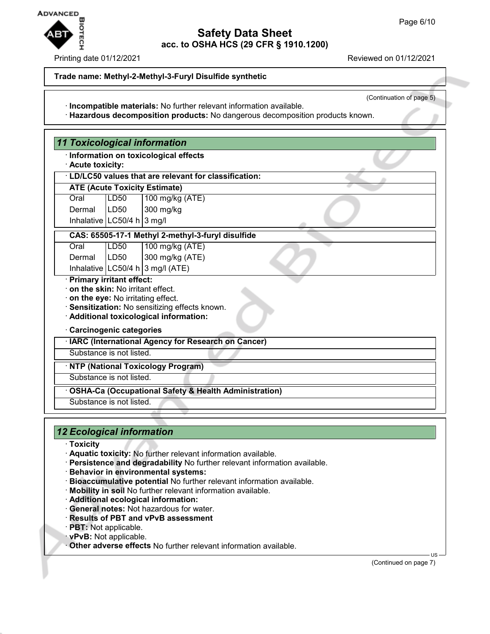

#### Printing date 01/12/2021 Reviewed on 01/12/2021

#### **Trade name: Methyl-2-Methyl-3-Furyl Disulfide synthetic**

(Continuation of page 5)

- · **Incompatible materials:** No further relevant information available.
- · **Hazardous decomposition products:** No dangerous decomposition products known.

| · Acute toxicity:                                              |                                | · Information on toxicological effects                                                                                           |
|----------------------------------------------------------------|--------------------------------|----------------------------------------------------------------------------------------------------------------------------------|
|                                                                |                                | · LD/LC50 values that are relevant for classification:                                                                           |
|                                                                |                                | <b>ATE (Acute Toxicity Estimate)</b>                                                                                             |
| Oral                                                           | <b>LD50</b>                    | 100 mg/kg (ATE)                                                                                                                  |
| Dermal                                                         | <b>LD50</b>                    | 300 mg/kg                                                                                                                        |
|                                                                | Inhalative $LC50/4 h   3 mg/l$ |                                                                                                                                  |
|                                                                |                                | CAS: 65505-17-1 Methyl 2-methyl-3-furyl disulfide                                                                                |
| Oral                                                           | LD50                           | 100 mg/kg (ATE)                                                                                                                  |
| Dermal                                                         | <b>LD50</b>                    | 300 mg/kg (ATE)                                                                                                                  |
|                                                                |                                | Inhalative $ LC50/4 h 3 mg/l (ATE)$                                                                                              |
| · Primary irritant effect:<br>on the skin: No irritant effect. |                                | . on the eye: No irritating effect.<br>· Sensitization: No sensitizing effects known.<br>· Additional toxicological information: |
| · Carcinogenic categories                                      |                                |                                                                                                                                  |
|                                                                |                                | · IARC (International Agency for Research on Cancer)                                                                             |
|                                                                | Substance is not listed.       |                                                                                                                                  |
|                                                                |                                | · NTP (National Toxicology Program)                                                                                              |
|                                                                | Substance is not listed.       |                                                                                                                                  |
|                                                                |                                | <b>OSHA-Ca (Occupational Safety &amp; Health Administration)</b>                                                                 |
|                                                                |                                |                                                                                                                                  |

# *12 Ecological information*

- · **Toxicity**
- · **Aquatic toxicity:** No further relevant information available.
- · **Persistence and degradability** No further relevant information available.
- · **Behavior in environmental systems:**
- · **Bioaccumulative potential** No further relevant information available.
- · **Mobility in soil** No further relevant information available.
- · **Additional ecological information:**
- · **General notes:** Not hazardous for water.
- · **Results of PBT and vPvB assessment**
- · **PBT:** Not applicable.
- · **vPvB:** Not applicable.
- · **Other adverse effects** No further relevant information available.

(Continued on page 7)

US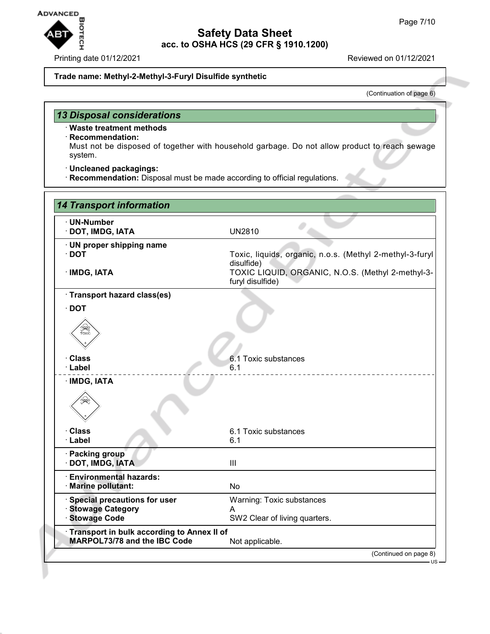

#### **Trade name: Methyl-2-Methyl-3-Furyl Disulfide synthetic**

(Continuation of page 6)

# *13 Disposal considerations*

## · **Waste treatment methods**

## · **Recommendation:**

Must not be disposed of together with household garbage. Do not allow product to reach sewage system.

- · **Uncleaned packagings:**
- · **Recommendation:** Disposal must be made according to official regulations.

| · UN-Number<br>· DOT, IMDG, IATA                                                  | <b>UN2810</b>                                                          |
|-----------------------------------------------------------------------------------|------------------------------------------------------------------------|
| · UN proper shipping name<br>$\cdot$ DOT                                          | Toxic, liquids, organic, n.o.s. (Methyl 2-methyl-3-furyl<br>disulfide) |
| · IMDG, IATA                                                                      | TOXIC LIQUID, ORGANIC, N.O.S. (Methyl 2-methyl-3-<br>furyl disulfide)  |
| · Transport hazard class(es)                                                      |                                                                        |
| $\cdot$ DOT<br>兴<br>TOXIC                                                         |                                                                        |
| <b>Class</b><br>· Label                                                           | 6.1 Toxic substances<br>6.1                                            |
| لجنيك<br><b>Class</b>                                                             | 6.1 Toxic substances                                                   |
| · Label                                                                           | 6.1                                                                    |
| · Packing group<br>· DOT, IMDG, IATA                                              | III                                                                    |
| <b>Environmental hazards:</b><br>· Marine pollutant:                              | <b>No</b>                                                              |
| <b>Special precautions for user</b><br><b>Stowage Category</b>                    | Warning: Toxic substances<br>A                                         |
| <b>Stowage Code</b>                                                               | SW2 Clear of living quarters.                                          |
| Transport in bulk according to Annex II of<br><b>MARPOL73/78 and the IBC Code</b> | Not applicable.                                                        |
|                                                                                   | (Continued on page 8)                                                  |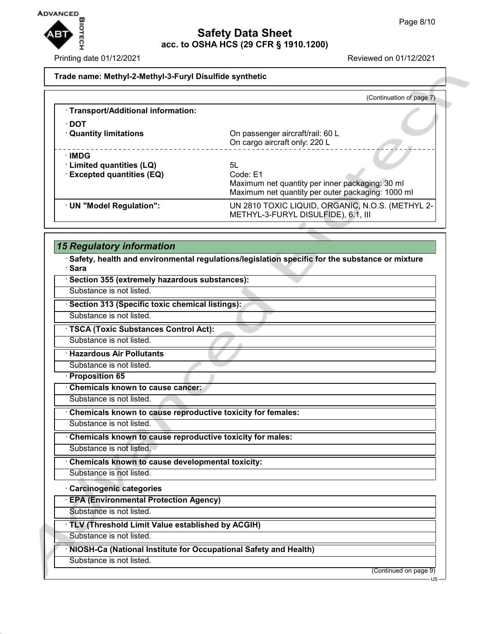

Printing date 01/12/2021 **Reviewed on 01/12/2021** 

## **Trade name: Methyl-2-Methyl-3-Furyl Disulfide synthetic**

|                                                                  | (Continuation of page 7)                                                                                               |
|------------------------------------------------------------------|------------------------------------------------------------------------------------------------------------------------|
| · Transport/Additional information:                              |                                                                                                                        |
| ∙ DOT<br><b>Quantity limitations</b>                             | On passenger aircraft/rail: 60 L<br>On cargo aircraft only: 220 L                                                      |
| ∴IMDG<br>· Limited quantities (LQ)<br>· Excepted quantities (EQ) | 5L<br>Code: E1<br>Maximum net quantity per inner packaging: 30 ml<br>Maximum net quantity per outer packaging: 1000 ml |
| · UN "Model Regulation":                                         | UN 2810 TOXIC LIQUID, ORGANIC, N.O.S. (METHYL 2-<br>METHYL-3-FURYL DISULFIDE), 6.1, III                                |

# *15 Regulatory information*

· **Safety, health and environmental regulations/legislation specific for the substance or mixture** · **Sara**

| Section 355 (extremely hazardous substances):                    |                       |
|------------------------------------------------------------------|-----------------------|
| Substance is not listed.                                         |                       |
| Section 313 (Specific toxic chemical listings):                  |                       |
| Substance is not listed.                                         |                       |
| · TSCA (Toxic Substances Control Act):                           |                       |
| Substance is not listed.                                         |                       |
| <b>Hazardous Air Pollutants</b>                                  |                       |
| Substance is not listed.                                         |                       |
| <b>Proposition 65</b>                                            |                       |
| <b>Chemicals known to cause cancer:</b>                          |                       |
| Substance is not listed.                                         |                       |
| Chemicals known to cause reproductive toxicity for females:      |                       |
| Substance is not listed.                                         |                       |
| Chemicals known to cause reproductive toxicity for males:        |                       |
| Substance is not listed.                                         |                       |
| Chemicals known to cause developmental toxicity:                 |                       |
| Substance is not listed.                                         |                       |
| <b>Carcinogenic categories</b>                                   |                       |
| <b>EPA (Environmental Protection Agency)</b>                     |                       |
| Substance is not listed.                                         |                       |
| TLV (Threshold Limit Value established by ACGIH)                 |                       |
| Substance is not listed.                                         |                       |
| NIOSH-Ca (National Institute for Occupational Safety and Health) |                       |
| Substance is not listed.                                         |                       |
|                                                                  | (Continued on page 9) |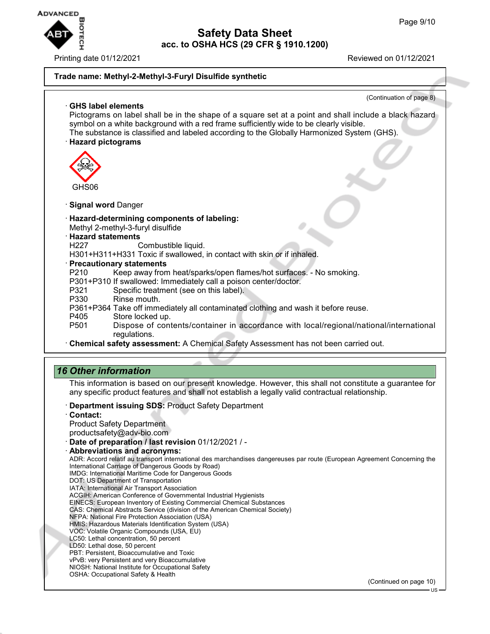

Printing date 01/12/2021 Reviewed on 01/12/2021

## **Safety Data Sheet acc. to OSHA HCS (29 CFR § 1910.1200)**

## **Trade name: Methyl-2-Methyl-3-Furyl Disulfide synthetic**

(Continuation of page 8) · **GHS label elements** Pictograms on label shall be in the shape of a square set at a point and shall include a black hazard symbol on a white background with a red frame sufficiently wide to be clearly visible. The substance is classified and labeled according to the Globally Harmonized System (GHS). · **Hazard pictograms** GHS06 · **Signal word** Danger · **Hazard-determining components of labeling:** Methyl 2-methyl-3-furyl disulfide · **Hazard statements** H227 Combustible liquid. H301+H311+H331 Toxic if swallowed, in contact with skin or if inhaled. · **Precautionary statements** P210 Keep away from heat/sparks/open flames/hot surfaces. - No smoking. P301+P310 If swallowed: Immediately call a poison center/doctor. Specific treatment (see on this label). P330 Rinse mouth. P361+P364 Take off immediately all contaminated clothing and wash it before reuse. P405 Store locked up.<br>P501 Dispose of con Dispose of contents/container in accordance with local/regional/national/international regulations. · **Chemical safety assessment:** A Chemical Safety Assessment has not been carried out. *16 Other information* This information is based on our present knowledge. However, this shall not constitute a guarantee for any specific product features and shall not establish a legally valid contractual relationship. · **Department issuing SDS:** Product Safety Department · **Contact:** Product Safety Department productsafety@adv-bio.com · **Date of preparation / last revision** 01/12/2021 / - · **Abbreviations and acronyms:** ADR: Accord relatif au transport international des marchandises dangereuses par route (European Agreement Concerning the International Carriage of Dangerous Goods by Road) IMDG: International Maritime Code for Dangerous Goods DOT: US Department of Transportation IATA: International Air Transport Association ACGIH: American Conference of Governmental Industrial Hygienists EINECS: European Inventory of Existing Commercial Chemical Substances CAS: Chemical Abstracts Service (division of the American Chemical Society) NFPA: National Fire Protection Association (USA) HMIS: Hazardous Materials Identification System (USA) VOC: Volatile Organic Compounds (USA, EU) LC50: Lethal concentration, 50 percent LD50: Lethal dose, 50 percent PBT: Persistent, Bioaccumulative and Toxic vPvB: very Persistent and very Bioaccumulative NIOSH: National Institute for Occupational Safety OSHA: Occupational Safety & Health

(Continued on page 10)

US